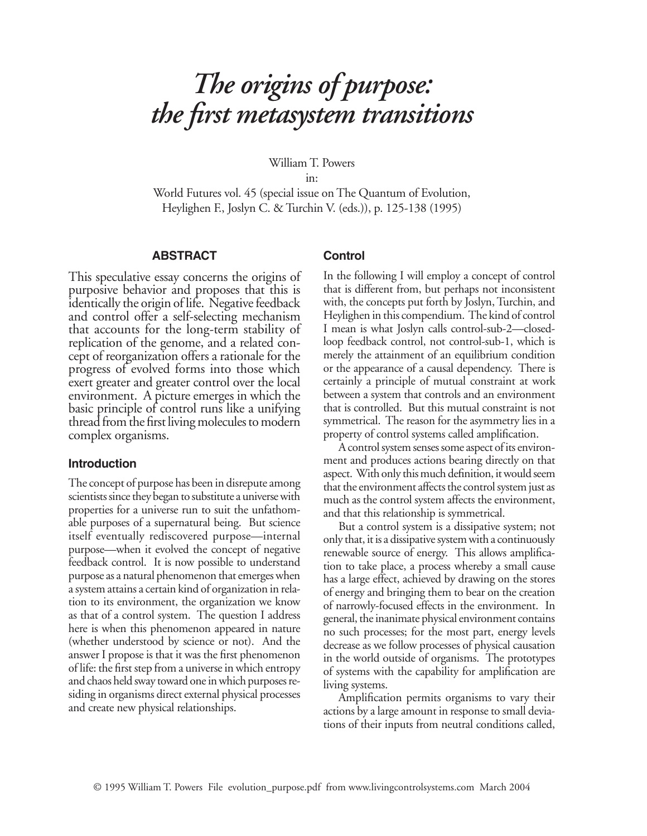# *The origins of purpose: the first metasystem transitions*

William T. Powers in:

World Futures vol. 45 (special issue on The Quantum of Evolution, Heylighen F., Joslyn C. & Turchin V. (eds.)), p. 125-138 (1995)

#### **ABSTRACT**

This speculative essay concerns the origins of purposive behavior and proposes that this is identically the origin of life. Negative feedback and control offer a self-selecting mechanism that accounts for the long-term stability of replication of the genome, and a related con- cept of reorganization offers a rationale for the progress of evolved forms into those which exert greater and greater control over the local environment. A picture emerges in which the basic principle of control runs like a unifying thread from the first living molecules to modern complex organisms.

# **Introduction**

The concept of purpose has been in disrepute among scientists since they began to substitute a universe with properties for a universe run to suit the unfathomable purposes of a supernatural being. But science itself eventually rediscovered purpose—internal purpose—when it evolved the concept of negative feedback control. It is now possible to understand purpose as a natural phenomenon that emerges when a system attains a certain kind of organization in relation to its environment, the organization we know as that of a control system. The question I address here is when this phenomenon appeared in nature (whether understood by science or not). And the answer I propose is that it was the first phenomenon of life: the first step from a universe in which entropy and chaos held sway toward one in which purposes residing in organisms direct external physical processes and create new physical relationships.

# **Control**

In the following I will employ a concept of control that is different from, but perhaps not inconsistent with, the concepts put forth by Joslyn, Turchin, and Heylighen in this compendium. The kind of control I mean is what Joslyn calls control-sub-2—closedloop feedback control, not control-sub-1, which is merely the attainment of an equilibrium condition or the appearance of a causal dependency. There is certainly a principle of mutual constraint at work between a system that controls and an environment that is controlled. But this mutual constraint is not symmetrical. The reason for the asymmetry lies in a property of control systems called amplification.

A control system senses some aspect of its environment and produces actions bearing directly on that aspect. With only this much definition, it would seem that the environment affects the control system just as much as the control system affects the environment, and that this relationship is symmetrical.

But a control system is a dissipative system; not only that, it is a dissipative system with a continuously renewable source of energy. This allows amplification to take place, a process whereby a small cause has a large effect, achieved by drawing on the stores of energy and bringing them to bear on the creation of narrowly-focused effects in the environment. In general, the inanimate physical environment contains no such processes; for the most part, energy levels decrease as we follow processes of physical causation in the world outside of organisms. The prototypes of systems with the capability for amplification are living systems.

Amplification permits organisms to vary their actions by a large amount in response to small deviations of their inputs from neutral conditions called,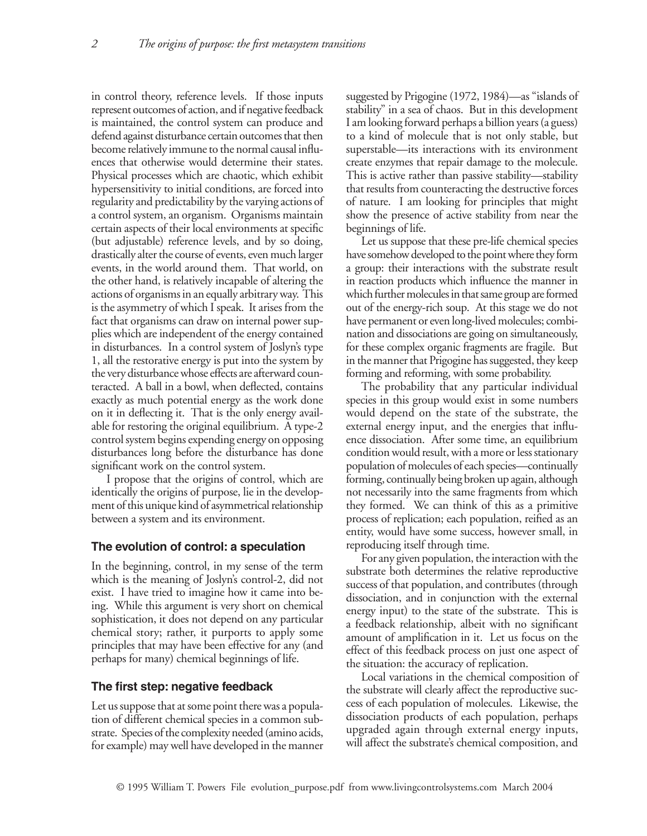in control theory, reference levels. If those inputs represent outcomes of action, and if negative feedback is maintained, the control system can produce and defend against disturbance certain outcomes that then become relatively immune to the normal causal influences that otherwise would determine their states. Physical processes which are chaotic, which exhibit hypersensitivity to initial conditions, are forced into regularity and predictability by the varying actions of a control system, an organism. Organisms maintain certain aspects of their local environments at specific (but adjustable) reference levels, and by so doing, drastically alter the course of events, even much larger events, in the world around them. That world, on the other hand, is relatively incapable of altering the actions of organisms in an equally arbitrary way. This is the asymmetry of which I speak. It arises from the fact that organisms can draw on internal power supplies which are independent of the energy contained in disturbances. In a control system of Joslyn's type 1, all the restorative energy is put into the system by the very disturbance whose effects are afterward counteracted. A ball in a bowl, when deflected, contains exactly as much potential energy as the work done on it in deflecting it. That is the only energy available for restoring the original equilibrium. A type-2 control system begins expending energy on opposing disturbances long before the disturbance has done significant work on the control system.

I propose that the origins of control, which are identically the origins of purpose, lie in the development of this unique kind of asymmetrical relationship between a system and its environment.

# **The evolution of control: a speculation**

In the beginning, control, in my sense of the term which is the meaning of Joslyn's control-2, did not exist. I have tried to imagine how it came into being. While this argument is very short on chemical sophistication, it does not depend on any particular chemical story; rather, it purports to apply some principles that may have been effective for any (and perhaps for many) chemical beginnings of life.

# **The first step: negative feedback**

Let us suppose that at some point there was a population of different chemical species in a common substrate. Species of the complexity needed (amino acids, for example) may well have developed in the manner

suggested by Prigogine (1972, 1984)—as "islands of stability" in a sea of chaos. But in this development I am looking forward perhaps a billion years (a guess) to a kind of molecule that is not only stable, but superstable—its interactions with its environment create enzymes that repair damage to the molecule. This is active rather than passive stability—stability that results from counteracting the destructive forces of nature. I am looking for principles that might show the presence of active stability from near the beginnings of life.

Let us suppose that these pre-life chemical species have somehow developed to the point where they form a group: their interactions with the substrate result in reaction products which influence the manner in which further molecules in that same group are formed out of the energy-rich soup. At this stage we do not have permanent or even long-lived molecules; combination and dissociations are going on simultaneously, for these complex organic fragments are fragile. But in the manner that Prigogine has suggested, they keep forming and reforming, with some probability.

The probability that any particular individual species in this group would exist in some numbers would depend on the state of the substrate, the external energy input, and the energies that influence dissociation. After some time, an equilibrium condition would result, with a more or less stationary population of molecules of each species—continually forming, continually being broken up again, although not necessarily into the same fragments from which they formed. We can think of this as a primitive process of replication; each population, reified as an entity, would have some success, however small, in reproducing itself through time.

For any given population, the interaction with the substrate both determines the relative reproductive success of that population, and contributes (through dissociation, and in conjunction with the external energy input) to the state of the substrate. This is a feedback relationship, albeit with no significant amount of amplification in it. Let us focus on the effect of this feedback process on just one aspect of the situation: the accuracy of replication.

Local variations in the chemical composition of the substrate will clearly affect the reproductive success of each population of molecules. Likewise, the dissociation products of each population, perhaps upgraded again through external energy inputs, will affect the substrate's chemical composition, and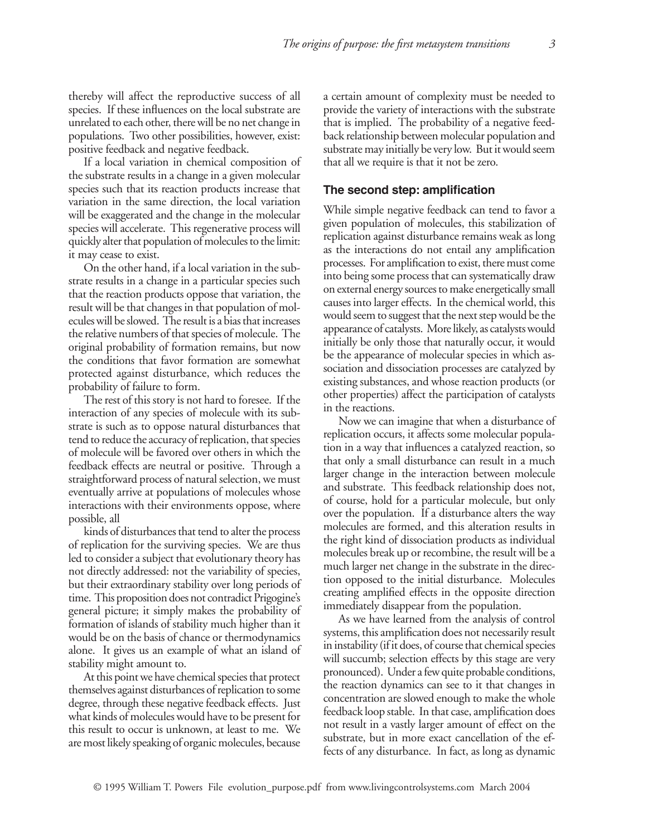thereby will affect the reproductive success of all species. If these influences on the local substrate are unrelated to each other, there will be no net change in populations. Two other possibilities, however, exist: positive feedback and negative feedback.

If a local variation in chemical composition of the substrate results in a change in a given molecular species such that its reaction products increase that variation in the same direction, the local variation will be exaggerated and the change in the molecular species will accelerate. This regenerative process will quickly alter that population of molecules to the limit: it may cease to exist.

On the other hand, if a local variation in the substrate results in a change in a particular species such that the reaction products oppose that variation, the result will be that changes in that population of molecules will be slowed. The result is a bias that increases the relative numbers of that species of molecule. The original probability of formation remains, but now the conditions that favor formation are somewhat protected against disturbance, which reduces the probability of failure to form.

The rest of this story is not hard to foresee. If the interaction of any species of molecule with its substrate is such as to oppose natural disturbances that tend to reduce the accuracy of replication, that species of molecule will be favored over others in which the feedback effects are neutral or positive. Through a straightforward process of natural selection, we must eventually arrive at populations of molecules whose interactions with their environments oppose, where possible, all

kinds of disturbances that tend to alter the process of replication for the surviving species. We are thus led to consider a subject that evolutionary theory has not directly addressed: not the variability of species, but their extraordinary stability over long periods of time. This proposition does not contradict Prigogine's general picture; it simply makes the probability of formation of islands of stability much higher than it would be on the basis of chance or thermodynamics alone. It gives us an example of what an island of stability might amount to.

At this point we have chemical species that protect themselves against disturbances of replication to some degree, through these negative feedback effects. Just what kinds of molecules would have to be present for this result to occur is unknown, at least to me. We are most likely speaking of organic molecules, because a certain amount of complexity must be needed to provide the variety of interactions with the substrate that is implied. The probability of a negative feedback relationship between molecular population and substrate may initially be very low. But it would seem that all we require is that it not be zero.

# **The second step: amplification**

While simple negative feedback can tend to favor a given population of molecules, this stabilization of replication against disturbance remains weak as long as the interactions do not entail any amplification processes. For amplification to exist, there must come into being some process that can systematically draw on external energy sources to make energetically small causes into larger effects. In the chemical world, this would seem to suggest that the next step would be the appearance of catalysts. More likely, as catalysts would initially be only those that naturally occur, it would be the appearance of molecular species in which association and dissociation processes are catalyzed by existing substances, and whose reaction products (or other properties) affect the participation of catalysts in the reactions.

Now we can imagine that when a disturbance of replication occurs, it affects some molecular population in a way that influences a catalyzed reaction, so that only a small disturbance can result in a much larger change in the interaction between molecule and substrate. This feedback relationship does not, of course, hold for a particular molecule, but only over the population. If a disturbance alters the way molecules are formed, and this alteration results in the right kind of dissociation products as individual molecules break up or recombine, the result will be a much larger net change in the substrate in the direction opposed to the initial disturbance. Molecules creating amplified effects in the opposite direction immediately disappear from the population.

As we have learned from the analysis of control systems, this amplification does not necessarily result in instability (if it does, of course that chemical species will succumb; selection effects by this stage are very pronounced). Under a few quite probable conditions, the reaction dynamics can see to it that changes in concentration are slowed enough to make the whole feedback loop stable. In that case, amplification does not result in a vastly larger amount of effect on the substrate, but in more exact cancellation of the effects of any disturbance. In fact, as long as dynamic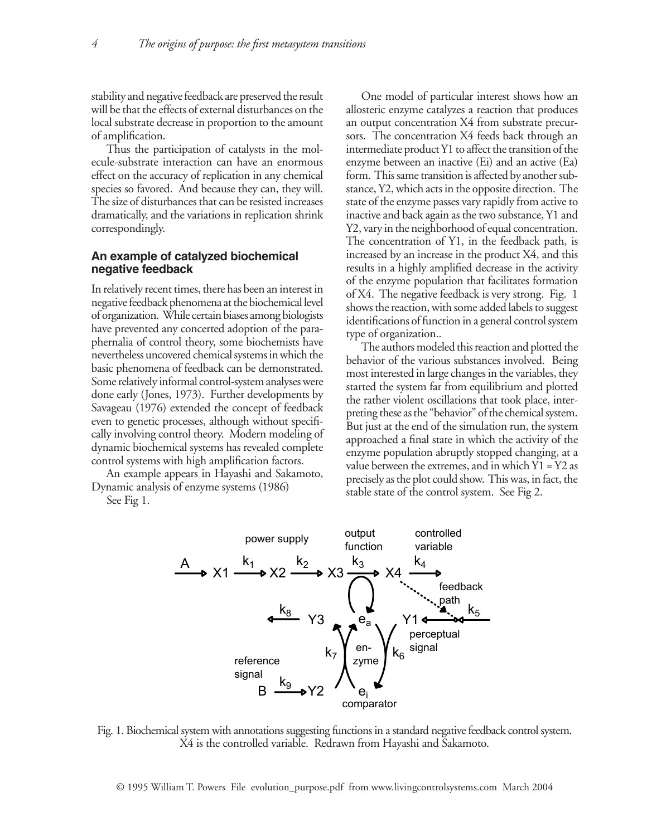stability and negative feedback are preserved the result will be that the effects of external disturbances on the local substrate decrease in proportion to the amount of amplification.

Thus the participation of catalysts in the molecule-substrate interaction can have an enormous effect on the accuracy of replication in any chemical species so favored. And because they can, they will. The size of disturbances that can be resisted increases dramatically, and the variations in replication shrink correspondingly.

# **An example of catalyzed biochemical negative feedback**

In relatively recent times, there has been an interest in negative feedback phenomena at the biochemical level of organization. While certain biases among biologists have prevented any concerted adoption of the paraphernalia of control theory, some biochemists have nevertheless uncovered chemical systems in which the basic phenomena of feedback can be demonstrated. Some relatively informal control-system analyses were done early (Jones, 1973). Further developments by Savageau (1976) extended the concept of feedback even to genetic processes, although without specifically involving control theory. Modern modeling of dynamic biochemical systems has revealed complete control systems with high amplification factors.

An example appears in Hayashi and Sakamoto, Dynamic analysis of enzyme systems (1986)

See Fig 1.

One model of particular interest shows how an allosteric enzyme catalyzes a reaction that produces an output concentration X4 from substrate precursors. The concentration X4 feeds back through an intermediate product Y1 to affect the transition of the enzyme between an inactive (Ei) and an active (Ea) form. This same transition is affected by another substance, Y2, which acts in the opposite direction. The state of the enzyme passes vary rapidly from active to inactive and back again as the two substance, Y1 and Y2, vary in the neighborhood of equal concentration. The concentration of Y1, in the feedback path, is increased by an increase in the product X4, and this results in a highly amplified decrease in the activity of the enzyme population that facilitates formation of X4. The negative feedback is very strong. Fig. 1 shows the reaction, with some added labels to suggest identifications of function in a general control system type of organization..

The authors modeled this reaction and plotted the behavior of the various substances involved. Being most interested in large changes in the variables, they started the system far from equilibrium and plotted the rather violent oscillations that took place, interpreting these as the "behavior" of the chemical system. But just at the end of the simulation run, the system approached a final state in which the activity of the enzyme population abruptly stopped changing, at a value between the extremes, and in which  $Y1 = Y2$  as precisely as the plot could show. This was, in fact, the stable state of the control system. See Fig 2.



Fig. 1. Biochemical system with annotations suggesting functions in a standard negative feedback control system. X4 is the controlled variable. Redrawn from Hayashi and Sakamoto.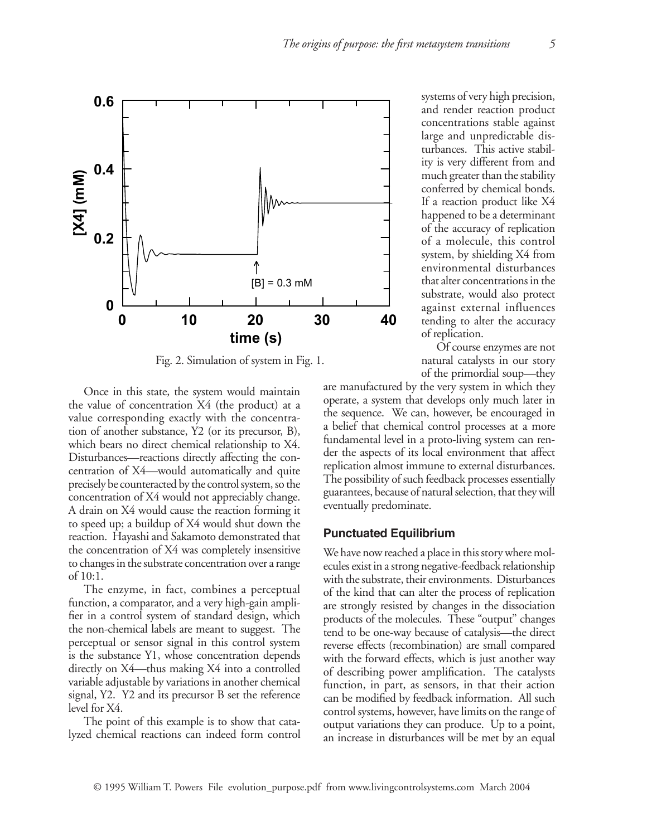

Fig. 2. Simulation of system in Fig. 1.

Once in this state, the system would maintain the value of concentration X4 (the product) at a value corresponding exactly with the concentration of another substance, Y2 (or its precursor, B), which bears no direct chemical relationship to X4. Disturbances—reactions directly affecting the concentration of X4—would automatically and quite precisely be counteracted by the control system, so the concentration of X4 would not appreciably change. A drain on X4 would cause the reaction forming it to speed up; a buildup of X4 would shut down the reaction. Hayashi and Sakamoto demonstrated that the concentration of X4 was completely insensitive to changes in the substrate concentration over a range of 10:1.

The enzyme, in fact, combines a perceptual function, a comparator, and a very high-gain amplifier in a control system of standard design, which the non-chemical labels are meant to suggest. The perceptual or sensor signal in this control system is the substance Y1, whose concentration depends directly on X4—thus making X4 into a controlled variable adjustable by variations in another chemical signal, Y2. Y2 and its precursor B set the reference level for X4.

The point of this example is to show that catalyzed chemical reactions can indeed form control systems of very high precision, and render reaction product concentrations stable against large and unpredictable disturbances. This active stability is very different from and much greater than the stability conferred by chemical bonds. If a reaction product like X4 happened to be a determinant of the accuracy of replication of a molecule, this control system, by shielding X4 from environmental disturbances that alter concentrations in the substrate, would also protect against external influences tending to alter the accuracy of replication.

Of course enzymes are not natural catalysts in our story of the primordial soup—they

are manufactured by the very system in which they operate, a system that develops only much later in the sequence. We can, however, be encouraged in a belief that chemical control processes at a more fundamental level in a proto-living system can render the aspects of its local environment that affect replication almost immune to external disturbances. The possibility of such feedback processes essentially guarantees, because of natural selection, that they will eventually predominate.

# **Punctuated Equilibrium**

We have now reached a place in this story where molecules exist in a strong negative-feedback relationship with the substrate, their environments. Disturbances of the kind that can alter the process of replication are strongly resisted by changes in the dissociation products of the molecules. These "output" changes tend to be one-way because of catalysis—the direct reverse effects (recombination) are small compared with the forward effects, which is just another way of describing power amplification. The catalysts function, in part, as sensors, in that their action can be modified by feedback information. All such control systems, however, have limits on the range of output variations they can produce. Up to a point, an increase in disturbances will be met by an equal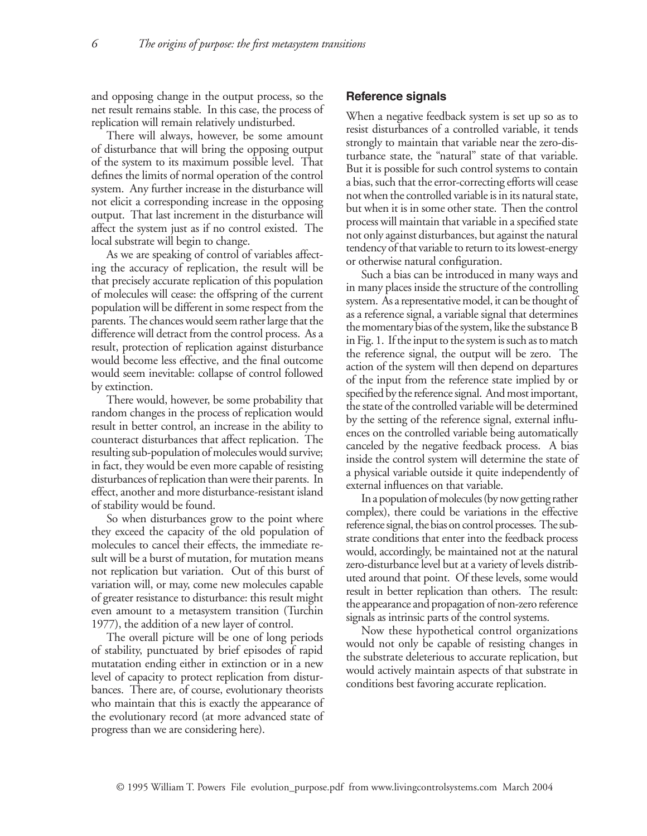and opposing change in the output process, so the net result remains stable. In this case, the process of replication will remain relatively undisturbed.

There will always, however, be some amount of disturbance that will bring the opposing output of the system to its maximum possible level. That defines the limits of normal operation of the control system. Any further increase in the disturbance will not elicit a corresponding increase in the opposing output. That last increment in the disturbance will affect the system just as if no control existed. The local substrate will begin to change.

As we are speaking of control of variables affecting the accuracy of replication, the result will be that precisely accurate replication of this population of molecules will cease: the offspring of the current population will be different in some respect from the parents. The chances would seem rather large that the difference will detract from the control process. As a result, protection of replication against disturbance would become less effective, and the final outcome would seem inevitable: collapse of control followed by extinction.

There would, however, be some probability that random changes in the process of replication would result in better control, an increase in the ability to counteract disturbances that affect replication. The resulting sub-population of molecules would survive; in fact, they would be even more capable of resisting disturbances of replication than were their parents. In effect, another and more disturbance-resistant island of stability would be found.

So when disturbances grow to the point where they exceed the capacity of the old population of molecules to cancel their effects, the immediate result will be a burst of mutation, for mutation means not replication but variation. Out of this burst of variation will, or may, come new molecules capable of greater resistance to disturbance: this result might even amount to a metasystem transition (Turchin 1977), the addition of a new layer of control.

The overall picture will be one of long periods of stability, punctuated by brief episodes of rapid mutatation ending either in extinction or in a new level of capacity to protect replication from disturbances. There are, of course, evolutionary theorists who maintain that this is exactly the appearance of the evolutionary record (at more advanced state of progress than we are considering here).

# **Reference signals**

When a negative feedback system is set up so as to resist disturbances of a controlled variable, it tends strongly to maintain that variable near the zero-disturbance state, the "natural" state of that variable. But it is possible for such control systems to contain a bias, such that the error-correcting efforts will cease not when the controlled variable is in its natural state, but when it is in some other state. Then the control process will maintain that variable in a specified state not only against disturbances, but against the natural tendency of that variable to return to its lowest-energy or otherwise natural configuration.

Such a bias can be introduced in many ways and in many places inside the structure of the controlling system. As a representative model, it can be thought of as a reference signal, a variable signal that determines the momentary bias of the system, like the substance B in Fig. 1. If the input to the system is such as to match the reference signal, the output will be zero. The action of the system will then depend on departures of the input from the reference state implied by or specified by the reference signal. And most important, the state of the controlled variable will be determined by the setting of the reference signal, external influences on the controlled variable being automatically canceled by the negative feedback process. A bias inside the control system will determine the state of a physical variable outside it quite independently of external influences on that variable.

In a population of molecules (by now getting rather complex), there could be variations in the effective reference signal, the bias on control processes. The substrate conditions that enter into the feedback process would, accordingly, be maintained not at the natural zero-disturbance level but at a variety of levels distributed around that point. Of these levels, some would result in better replication than others. The result: the appearance and propagation of non-zero reference signals as intrinsic parts of the control systems.

Now these hypothetical control organizations would not only be capable of resisting changes in the substrate deleterious to accurate replication, but would actively maintain aspects of that substrate in conditions best favoring accurate replication.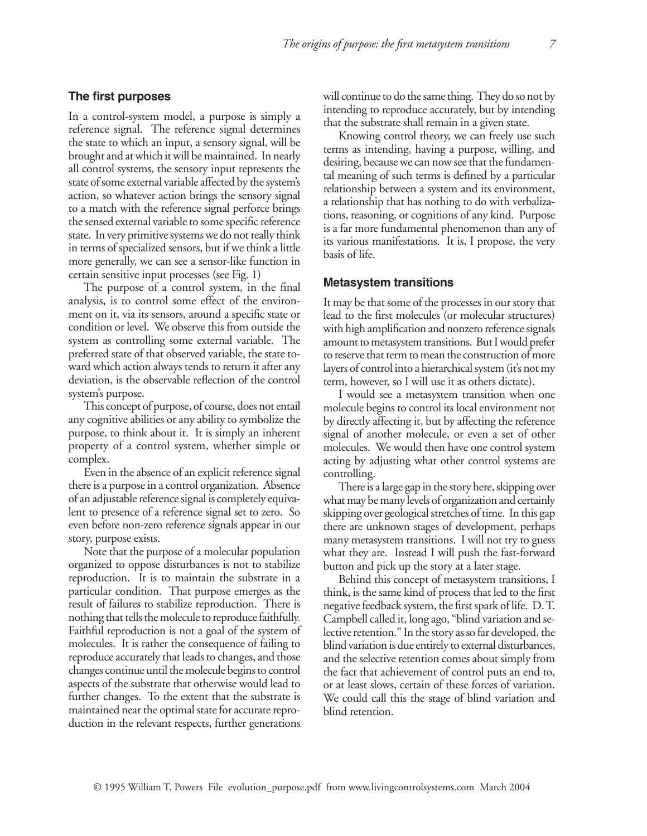# **The first purposes**

In a control-system model, a purpose is simply a reference signal. The reference signal determines the state to which an input, a sensory signal, will be brought and at which it will be maintained. In nearly all control systems, the sensory input represents the state of some external variable affected by the system's action, so whatever action brings the sensory signal to a match with the reference signal perforce brings the sensed external variable to some specific reference state. In very primitive systems we do not really think in terms of specialized sensors, but if we think a little more generally, we can see a sensor-like function in certain sensitive input processes (see Fig. 1)

The purpose of a control system, in the final analysis, is to control some effect of the environment on it, via its sensors, around a specific state or condition or level. We observe this from outside the system as controlling some external variable. The preferred state of that observed variable, the state toward which action always tends to return it after any deviation, is the observable reflection of the control system's purpose.

This concept of purpose, of course, does not entail any cognitive abilities or any ability to symbolize the purpose, to think about it. It is simply an inherent property of a control system, whether simple or complex.

Even in the absence of an explicit reference signal there is a purpose in a control organization. Absence of an adjustable reference signal is completely equivalent to presence of a reference signal set to zero. So even before non-zero reference signals appear in our story, purpose exists.

Note that the purpose of a molecular population organized to oppose disturbances is not to stabilize reproduction. It is to maintain the substrate in a particular condition. That purpose emerges as the result of failures to stabilize reproduction. There is nothing that tells the molecule to reproduce faithfully. Faithful reproduction is not a goal of the system of molecules. It is rather the consequence of failing to reproduce accurately that leads to changes, and those changes continue until the molecule begins to control aspects of the substrate that otherwise would lead to further changes. To the extent that the substrate is maintained near the optimal state for accurate reproduction in the relevant respects, further generations

will continue to do the same thing. They do so not by intending to reproduce accurately, but by intending that the substrate shall remain in a given state.

Knowing control theory, we can freely use such terms as intending, having a purpose, willing, and desiring, because we can now see that the fundamental meaning of such terms is defined by a particular relationship between a system and its environment, a relationship that has nothing to do with verbalizations, reasoning, or cognitions of any kind. Purpose is a far more fundamental phenomenon than any of its various manifestations. It is, I propose, the very basis of life.

#### **Metasystem transitions**

It may be that some of the processes in our story that lead to the first molecules (or molecular structures) with high amplification and nonzero reference signals amount to metasystem transitions. But I would prefer to reserve that term to mean the construction of more layers of control into a hierarchical system (it's not my term, however, so I will use it as others dictate).

I would see a metasystem transition when one molecule begins to control its local environment not by directly affecting it, but by affecting the reference signal of another molecule, or even a set of other molecules. We would then have one control system acting by adjusting what other control systems are controlling.

There is a large gap in the story here, skipping over what may be many levels of organization and certainly skipping over geological stretches of time. In this gap there are unknown stages of development, perhaps many metasystem transitions. I will not try to guess what they are. Instead I will push the fast-forward button and pick up the story at a later stage.

Behind this concept of metasystem transitions, I think, is the same kind of process that led to the first negative feedback system, the first spark of life. D. T. Campbell called it, long ago, "blind variation and selective retention." In the story as so far developed, the blind variation is due entirely to external disturbances, and the selective retention comes about simply from the fact that achievement of control puts an end to, or at least slows, certain of these forces of variation. We could call this the stage of blind variation and blind retention.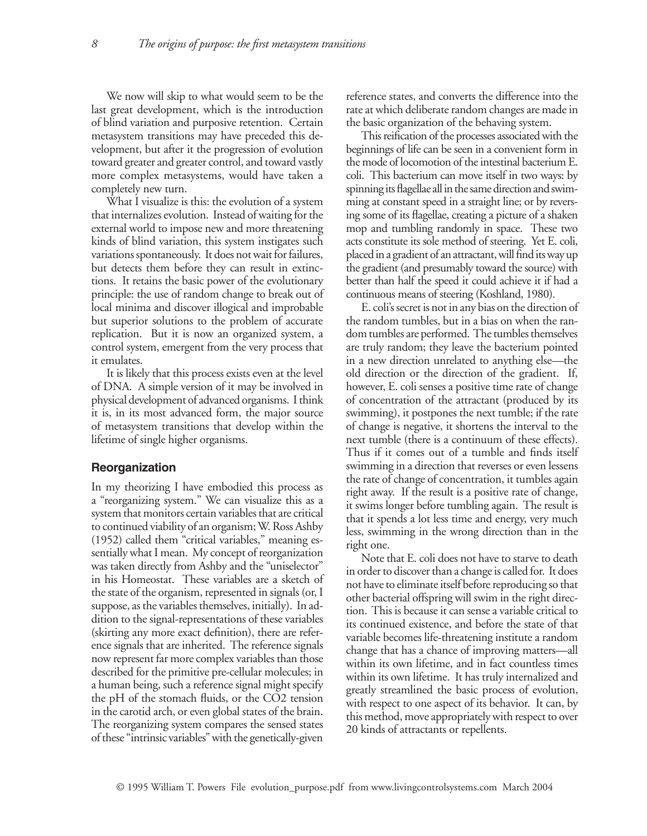We now will skip to what would seem to be the last great development, which is the introduction of blind variation and purposive retention. Certain metasystem transitions may have preceded this development, but after it the progression of evolution toward greater and greater control, and toward vastly more complex metasystems, would have taken a completely new turn.

What I visualize is this: the evolution of a system that internalizes evolution. Instead of waiting for the external world to impose new and more threatening kinds of blind variation, this system instigates such variations spontaneously. It does not wait for failures, but detects them before they can result in extinctions. It retains the basic power of the evolutionary principle: the use of random change to break out of local minima and discover illogical and improbable but superior solutions to the problem of accurate replication. But it is now an organized system, a control system, emergent from the very process that it emulates.

It is likely that this process exists even at the level of DNA. A simple version of it may be involved in physical development of advanced organisms. I think it is, in its most advanced form, the major source of metasystem transitions that develop within the lifetime of single higher organisms.

#### **Reorganization**

In my theorizing I have embodied this process as a "reorganizing system." We can visualize this as a system that monitors certain variables that are critical to continued viability of an organism; W. Ross Ashby (1952) called them "critical variables," meaning essentially what I mean. My concept of reorganization was taken directly from Ashby and the "uniselector" in his Homeostat. These variables are a sketch of the state of the organism, represented in signals (or, I suppose, as the variables themselves, initially). In addition to the signal-representations of these variables (skirting any more exact definition), there are reference signals that are inherited. The reference signals now represent far more complex variables than those described for the primitive pre-cellular molecules; in a human being, such a reference signal might specify the pH of the stomach fluids, or the CO2 tension in the carotid arch, or even global states of the brain. The reorganizing system compares the sensed states of these "intrinsic variables" with the genetically-given

reference states, and converts the difference into the rate at which deliberate random changes are made in the basic organization of the behaving system.

This reification of the processes associated with the beginnings of life can be seen in a convenient form in the mode of locomotion of the intestinal bacterium E. coli. This bacterium can move itself in two ways: by spinning its flagellae all in the same direction and swimming at constant speed in a straight line; or by reversing some of its flagellae, creating a picture of a shaken mop and tumbling randomly in space. These two acts constitute its sole method of steering. Yet E. coli, placed in a gradient of an attractant, will find its way up the gradient (and presumably toward the source) with better than half the speed it could achieve it if had a continuous means of steering (Koshland, 1980).

E. coli's secret is not in any bias on the direction of the random tumbles, but in a bias on when the random tumbles are performed. The tumbles themselves are truly random; they leave the bacterium pointed in a new direction unrelated to anything else—the old direction or the direction of the gradient. If, however, E. coli senses a positive time rate of change of concentration of the attractant (produced by its swimming), it postpones the next tumble; if the rate of change is negative, it shortens the interval to the next tumble (there is a continuum of these effects). Thus if it comes out of a tumble and finds itself swimming in a direction that reverses or even lessens the rate of change of concentration, it tumbles again right away. If the result is a positive rate of change, it swims longer before tumbling again. The result is that it spends a lot less time and energy, very much less, swimming in the wrong direction than in the right one.

Note that E. coli does not have to starve to death in order to discover than a change is called for. It does not have to eliminate itself before reproducing so that other bacterial offspring will swim in the right direction. This is because it can sense a variable critical to its continued existence, and before the state of that variable becomes life-threatening institute a random change that has a chance of improving matters—all within its own lifetime, and in fact countless times within its own lifetime. It has truly internalized and greatly streamlined the basic process of evolution, with respect to one aspect of its behavior. It can, by this method, move appropriately with respect to over 20 kinds of attractants or repellents.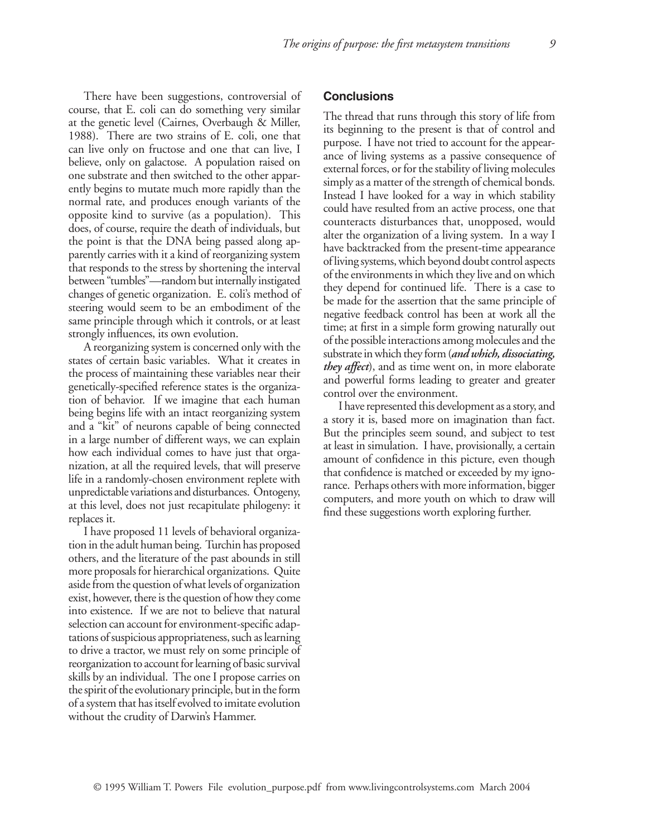There have been suggestions, controversial of course, that E. coli can do something very similar at the genetic level (Cairnes, Overbaugh & Miller, 1988). There are two strains of E. coli, one that can live only on fructose and one that can live, I believe, only on galactose. A population raised on one substrate and then switched to the other apparently begins to mutate much more rapidly than the normal rate, and produces enough variants of the opposite kind to survive (as a population). This does, of course, require the death of individuals, but the point is that the DNA being passed along apparently carries with it a kind of reorganizing system that responds to the stress by shortening the interval between "tumbles"—random but internally instigated changes of genetic organization. E. coli's method of steering would seem to be an embodiment of the same principle through which it controls, or at least strongly influences, its own evolution.

A reorganizing system is concerned only with the states of certain basic variables. What it creates in the process of maintaining these variables near their genetically-specified reference states is the organization of behavior. If we imagine that each human being begins life with an intact reorganizing system and a "kit" of neurons capable of being connected in a large number of different ways, we can explain how each individual comes to have just that organization, at all the required levels, that will preserve life in a randomly-chosen environment replete with unpredictable variations and disturbances. Ontogeny, at this level, does not just recapitulate philogeny: it replaces it.

I have proposed 11 levels of behavioral organization in the adult human being. Turchin has proposed others, and the literature of the past abounds in still more proposals for hierarchical organizations. Quite aside from the question of what levels of organization exist, however, there is the question of how they come into existence. If we are not to believe that natural selection can account for environment-specific adaptations of suspicious appropriateness, such as learning to drive a tractor, we must rely on some principle of reorganization to account for learning of basic survival skills by an individual. The one I propose carries on the spirit of the evolutionary principle, but in the form of a system that has itself evolved to imitate evolution without the crudity of Darwin's Hammer.

# **Conclusions**

The thread that runs through this story of life from its beginning to the present is that of control and purpose. I have not tried to account for the appearance of living systems as a passive consequence of external forces, or for the stability of living molecules simply as a matter of the strength of chemical bonds. Instead I have looked for a way in which stability could have resulted from an active process, one that counteracts disturbances that, unopposed, would alter the organization of a living system. In a way I have backtracked from the present-time appearance of living systems, which beyond doubt control aspects of the environments in which they live and on which they depend for continued life. There is a case to be made for the assertion that the same principle of negative feedback control has been at work all the time; at first in a simple form growing naturally out of the possible interactions among molecules and the substrate in which they form (*and which, dissociating, they affect*), and as time went on, in more elaborate and powerful forms leading to greater and greater control over the environment.

I have represented this development as a story, and a story it is, based more on imagination than fact. But the principles seem sound, and subject to test at least in simulation. I have, provisionally, a certain amount of confidence in this picture, even though that confidence is matched or exceeded by my ignorance. Perhaps others with more information, bigger computers, and more youth on which to draw will find these suggestions worth exploring further.